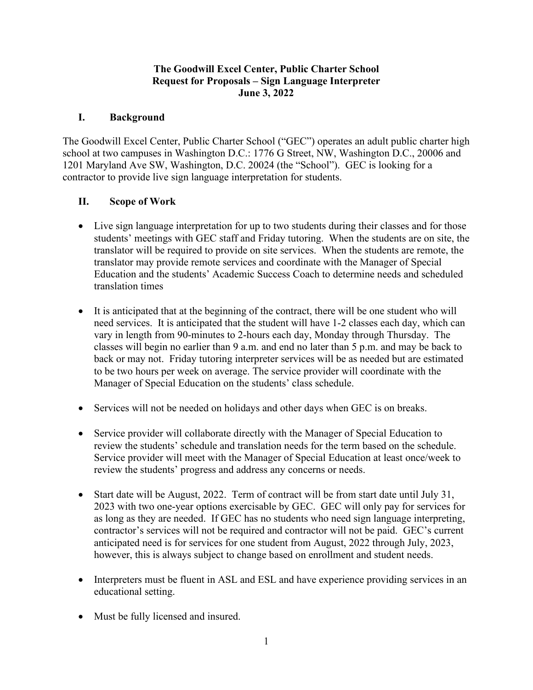### **The Goodwill Excel Center, Public Charter School Request for Proposals – Sign Language Interpreter June 3, 2022**

## **I. Background**

The Goodwill Excel Center, Public Charter School ("GEC") operates an adult public charter high school at two campuses in Washington D.C.: 1776 G Street, NW, Washington D.C., 20006 and 1201 Maryland Ave SW, Washington, D.C. 20024 (the "School"). GEC is looking for a contractor to provide live sign language interpretation for students.

# **II. Scope of Work**

- Live sign language interpretation for up to two students during their classes and for those students' meetings with GEC staff and Friday tutoring. When the students are on site, the translator will be required to provide on site services. When the students are remote, the translator may provide remote services and coordinate with the Manager of Special Education and the students' Academic Success Coach to determine needs and scheduled translation times
- It is anticipated that at the beginning of the contract, there will be one student who will need services. It is anticipated that the student will have 1-2 classes each day, which can vary in length from 90-minutes to 2-hours each day, Monday through Thursday. The classes will begin no earlier than 9 a.m. and end no later than 5 p.m. and may be back to back or may not. Friday tutoring interpreter services will be as needed but are estimated to be two hours per week on average. The service provider will coordinate with the Manager of Special Education on the students' class schedule.
- Services will not be needed on holidays and other days when GEC is on breaks.
- Service provider will collaborate directly with the Manager of Special Education to review the students' schedule and translation needs for the term based on the schedule. Service provider will meet with the Manager of Special Education at least once/week to review the students' progress and address any concerns or needs.
- Start date will be August, 2022. Term of contract will be from start date until July 31, 2023 with two one-year options exercisable by GEC. GEC will only pay for services for as long as they are needed. If GEC has no students who need sign language interpreting, contractor's services will not be required and contractor will not be paid. GEC's current anticipated need is for services for one student from August, 2022 through July, 2023, however, this is always subject to change based on enrollment and student needs.
- Interpreters must be fluent in ASL and ESL and have experience providing services in an educational setting.
- Must be fully licensed and insured.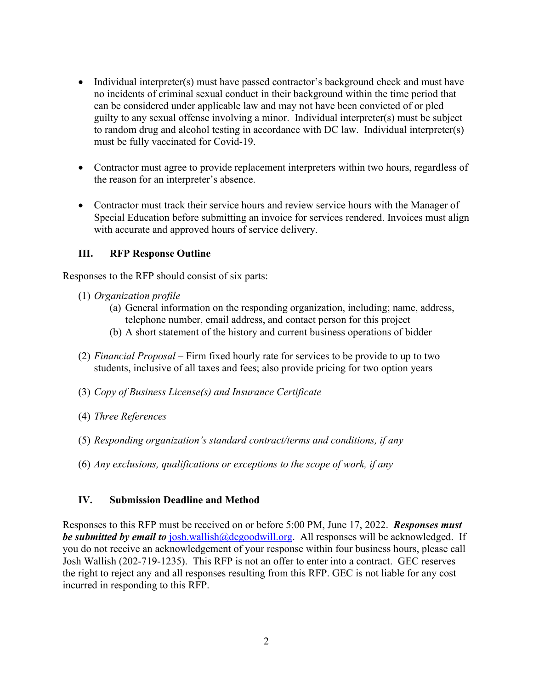- Individual interpreter(s) must have passed contractor's background check and must have no incidents of criminal sexual conduct in their background within the time period that can be considered under applicable law and may not have been convicted of or pled guilty to any sexual offense involving a minor. Individual interpreter(s) must be subject to random drug and alcohol testing in accordance with DC law. Individual interpreter(s) must be fully vaccinated for Covid-19.
- Contractor must agree to provide replacement interpreters within two hours, regardless of the reason for an interpreter's absence.
- Contractor must track their service hours and review service hours with the Manager of Special Education before submitting an invoice for services rendered. Invoices must align with accurate and approved hours of service delivery.

### **III. RFP Response Outline**

Responses to the RFP should consist of six parts:

- (1) *Organization profile*
	- (a) General information on the responding organization, including; name, address, telephone number, email address, and contact person for this project
	- (b) A short statement of the history and current business operations of bidder
- (2) *Financial Proposal* Firm fixed hourly rate for services to be provide to up to two students, inclusive of all taxes and fees; also provide pricing for two option years
- (3) *Copy of Business License(s) and Insurance Certificate*
- (4) *Three References*
- (5) *Responding organization's standard contract/terms and conditions, if any*
- (6) *Any exclusions, qualifications or exceptions to the scope of work, if any*

#### **IV. Submission Deadline and Method**

Responses to this RFP must be received on or before 5:00 PM, June 17, 2022. *Responses must be submitted by email to* [josh.wallish@dcgoodwill.org.](mailto:josh.wallish@dcgoodwill.org) All responses will be acknowledged. If you do not receive an acknowledgement of your response within four business hours, please call Josh Wallish (202-719-1235). This RFP is not an offer to enter into a contract. GEC reserves the right to reject any and all responses resulting from this RFP. GEC is not liable for any cost incurred in responding to this RFP.